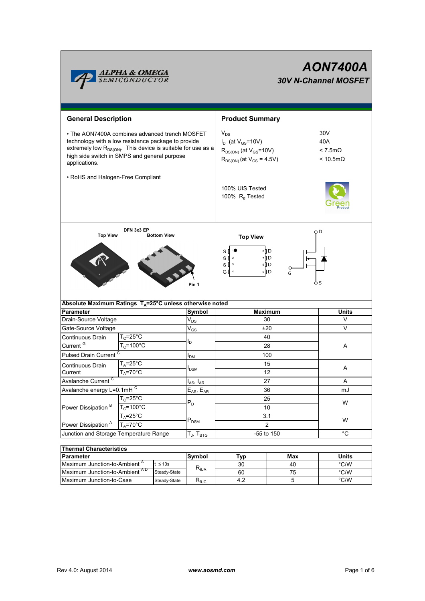

# *AON7400A 30V N-Channel MOSFET*

| <b>General Description</b>                                                                                                                                                                                                                         |                       |                     |                           | <b>Product Summary</b>                                                                                        |                                                         |                   |  |  |
|----------------------------------------------------------------------------------------------------------------------------------------------------------------------------------------------------------------------------------------------------|-----------------------|---------------------|---------------------------|---------------------------------------------------------------------------------------------------------------|---------------------------------------------------------|-------------------|--|--|
| • The AON7400A combines advanced trench MOSFET<br>technology with a low resistance package to provide<br>extremely low R <sub>DS(ON)</sub> . This device is suitable for use as a<br>high side switch in SMPS and general purpose<br>applications. |                       |                     |                           | $V_{DS}$<br>$I_D$ (at $V_{GS}$ =10V)<br>$R_{DS(ON)}$ (at $V_{GS}$ =10V)<br>$R_{DS(ON)}$ (at $V_{GS} = 4.5V$ ) | 30V<br>40A<br>$< 7.5m\Omega$<br>$< 10.5 \text{m}\Omega$ |                   |  |  |
| • RoHS and Halogen-Free Compliant                                                                                                                                                                                                                  |                       |                     |                           |                                                                                                               |                                                         |                   |  |  |
|                                                                                                                                                                                                                                                    |                       |                     |                           | 100% UIS Tested<br>100% $R_q$ Tested                                                                          |                                                         |                   |  |  |
| DFN 3x3 EP<br><b>Top View</b><br><b>Bottom View</b>                                                                                                                                                                                                |                       |                     |                           | <b>Top View</b>                                                                                               | O D                                                     |                   |  |  |
| 8 ∏8<br>S<br>s₫<br>7 D<br>$\mathbf 2$<br>6 ∏ ∂<br>s₫<br>$\mathbf 3$<br>5 D<br>G [] 4<br>G<br>Pin 1                                                                                                                                                 |                       |                     |                           |                                                                                                               |                                                         |                   |  |  |
| Absolute Maximum Ratings $T_A = 25^\circ \text{C}$ unless otherwise noted                                                                                                                                                                          |                       |                     |                           |                                                                                                               |                                                         |                   |  |  |
| <b>Parameter</b>                                                                                                                                                                                                                                   |                       |                     | Symbol                    | <b>Maximum</b><br>30                                                                                          |                                                         | <b>Units</b><br>V |  |  |
| Drain-Source Voltage<br>Gate-Source Voltage                                                                                                                                                                                                        |                       |                     | $V_{DS}$                  | ±20                                                                                                           |                                                         | V                 |  |  |
| Continuous Drain                                                                                                                                                                                                                                   | $T_c = 25^{\circ}C$   |                     | $V_{GS}$                  | 40                                                                                                            |                                                         |                   |  |  |
| Current <sup>G</sup>                                                                                                                                                                                                                               | $T_c = 100^{\circ}$ C |                     | l <sub>D</sub>            | 28                                                                                                            |                                                         | Α                 |  |  |
| Pulsed Drain Current <sup>C</sup>                                                                                                                                                                                                                  |                       |                     |                           | 100                                                                                                           |                                                         |                   |  |  |
| $T_A = 25^{\circ}C$                                                                                                                                                                                                                                |                       | I <sub>DM</sub>     | 15                        |                                                                                                               |                                                         |                   |  |  |
| Continuous Drain<br>Current                                                                                                                                                                                                                        | $T_A = 70^\circ C$    |                     | l <sub>DSM</sub>          | 12                                                                                                            |                                                         | A                 |  |  |
| Avalanche Current <sup>C</sup>                                                                                                                                                                                                                     |                       | $I_{AS}$ , $I_{AR}$ | 27                        |                                                                                                               | A                                                       |                   |  |  |
| Avalanche energy L=0.1mHC                                                                                                                                                                                                                          |                       | $E_{AS}$ , $E_{AR}$ | 36                        |                                                                                                               | mJ                                                      |                   |  |  |
| Power Dissipation <sup>B</sup>                                                                                                                                                                                                                     | $T_c = 25$ °C         |                     | $P_D$                     | 25                                                                                                            |                                                         | W                 |  |  |
|                                                                                                                                                                                                                                                    | $T_c = 100^{\circ}$ C |                     |                           | 10                                                                                                            |                                                         |                   |  |  |
|                                                                                                                                                                                                                                                    | $T_A = 25^\circ C$    |                     | $\mathsf{P}_\mathsf{DSM}$ | 3.1                                                                                                           |                                                         | W                 |  |  |
| $T_A = 70^\circ C$<br>Power Dissipation <sup>A</sup>                                                                                                                                                                                               |                       |                     | $\overline{2}$            |                                                                                                               |                                                         |                   |  |  |
| Junction and Storage Temperature Range                                                                                                                                                                                                             |                       | $T_J$ , $T_{STG}$   | $^{\circ}C$<br>-55 to 150 |                                                                                                               |                                                         |                   |  |  |
| <b>Thermal Characteristics</b>                                                                                                                                                                                                                     |                       |                     |                           |                                                                                                               |                                                         |                   |  |  |
| <b>Parameter</b>                                                                                                                                                                                                                                   |                       |                     | Symbol                    | Тур                                                                                                           | <b>Max</b>                                              | <b>Units</b>      |  |  |
| Maximum Junction-to-Ambient <sup>A</sup><br>$t \leq 10s$                                                                                                                                                                                           |                       | D                   | 30                        | 40                                                                                                            | °C/W                                                    |                   |  |  |

| <b>Thermal Characteristics</b>           |               |                                   |     |              |               |  |  |
|------------------------------------------|---------------|-----------------------------------|-----|--------------|---------------|--|--|
| <b>Parameter</b>                         | <b>Symbol</b> | Tvp                               | Max | <b>Units</b> |               |  |  |
| Maximum Junction-to-Ambient <sup>"</sup> | $\leq 10s$    |                                   | 30  | 40           | $\degree$ C/W |  |  |
| Maximum Junction-to-Ambient AD           | Steady-State  | $R_{\theta$ JA                    | 60  | 75           | $\degree$ C/W |  |  |
| Maximum Junction-to-Case                 | Steady-State  | $\mathsf{R}_{\mathsf{\theta JC}}$ | 4.2 |              | $\degree$ C/W |  |  |
|                                          |               |                                   |     |              |               |  |  |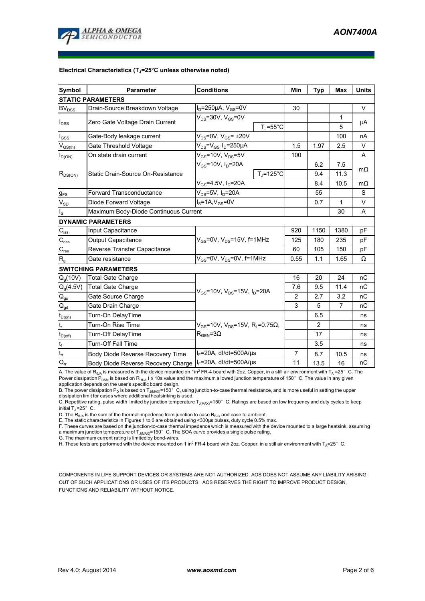

#### **Electrical Characteristics (TJ=25°C unless otherwise noted)**

| <b>Symbol</b>                                      | <b>Parameter</b>                      | <b>Conditions</b>                                                                                  |                    | Min  | <b>Typ</b>     | <b>Max</b>     | <b>Units</b> |  |
|----------------------------------------------------|---------------------------------------|----------------------------------------------------------------------------------------------------|--------------------|------|----------------|----------------|--------------|--|
| <b>STATIC PARAMETERS</b>                           |                                       |                                                                                                    |                    |      |                |                |              |  |
| <b>BV<sub>DSS</sub></b>                            | Drain-Source Breakdown Voltage        | $I_D = 250 \mu A$ , $V_{GS} = 0V$                                                                  |                    | 30   |                |                | $\vee$       |  |
| $I_{DSS}$                                          | Zero Gate Voltage Drain Current       | $V_{DS}$ =30V, $V_{GS}$ =0V                                                                        |                    |      |                | 1              | μA           |  |
|                                                    |                                       | $T_J = 55^{\circ}C$                                                                                |                    |      |                | 5              |              |  |
| $I_{GSS}$                                          | Gate-Body leakage current             | $V_{DS}$ =0V, $V_{GS}$ = ±20V                                                                      |                    |      |                | 100            | nA           |  |
| $\mathsf{V}_{\mathsf{GS}(\underbar{\mathsf{th}})}$ | Gate Threshold Voltage                | $V_{DS} = V_{GS} I_D = 250 \mu A$                                                                  |                    | 1.5  | 1.97           | 2.5            | $\vee$       |  |
| $I_{D(ON)}$                                        | On state drain current                | $V_{GS}$ =10V, $V_{DS}$ =5V                                                                        |                    | 100  |                |                | A            |  |
| $R_{DS(ON)}$                                       |                                       | $V_{GS}$ =10V, $I_D$ =20A                                                                          |                    |      | 6.2            | 7.5            | $m\Omega$    |  |
|                                                    | Static Drain-Source On-Resistance     |                                                                                                    | $T_{\rm J}$ =125°C |      | 9.4            | 11.3           |              |  |
|                                                    |                                       | $V_{GS} = 4.5V, I_D = 20A$                                                                         |                    |      | 8.4            | 10.5           | $m\Omega$    |  |
| $g_{FS}$                                           | <b>Forward Transconductance</b>       | $V_{DS}$ =5V, I <sub>D</sub> =20A                                                                  |                    |      | 55             |                | S            |  |
| $V_{SD}$                                           | Diode Forward Voltage                 | $IS=1A, VGS=0V$                                                                                    |                    |      | 0.7            | 1              | $\vee$       |  |
| $I_{\rm S}$                                        | Maximum Body-Diode Continuous Current |                                                                                                    |                    |      |                | 30             | A            |  |
|                                                    | <b>DYNAMIC PARAMETERS</b>             |                                                                                                    |                    |      |                |                |              |  |
| $C_{\text{iss}}$                                   | Input Capacitance                     | $V_{GS}$ =0V, $V_{DS}$ =15V, f=1MHz                                                                |                    | 920  | 1150           | 1380           | pF           |  |
| $C_{\rm oss}$                                      | <b>Output Capacitance</b>             |                                                                                                    |                    | 125  | 180            | 235            | pF           |  |
| $C_{\rm rss}$                                      | Reverse Transfer Capacitance          |                                                                                                    |                    | 60   | 105            | 150            | pF           |  |
| $R_{q}$                                            | Gate resistance                       | $V_{GS}$ =0V, V <sub>DS</sub> =0V, f=1MHz                                                          |                    | 0.55 | 1.1            | 1.65           | Ω            |  |
|                                                    | <b>SWITCHING PARAMETERS</b>           |                                                                                                    |                    |      |                |                |              |  |
| $Q_q(10V)$                                         | <b>Total Gate Charge</b>              | $V_{GS}$ =10V, $V_{DS}$ =15V, $I_D$ =20A                                                           |                    | 16   | 20             | 24             | nC           |  |
| $Q_q(4.5V)$                                        | <b>Total Gate Charge</b>              |                                                                                                    |                    | 7.6  | 9.5            | 11.4           | nC           |  |
| $\mathsf{Q}_{\mathsf{gs}}$                         | Gate Source Charge                    |                                                                                                    |                    | 2    | 2.7            | 3.2            | пC           |  |
| $Q_{gd}$                                           | Gate Drain Charge                     |                                                                                                    |                    | 3    | 5              | $\overline{7}$ | nC           |  |
| $t_{D(0n)}$                                        | Turn-On DelayTime                     | $V_{GS}$ =10V, V <sub>DS</sub> =15V, R <sub>L</sub> =0.75 $\Omega$ ,<br>$R_{\text{GEN}} = 3\Omega$ |                    |      | 6.5            |                | ns           |  |
| $t_r$                                              | Turn-On Rise Time                     |                                                                                                    |                    |      | $\overline{2}$ |                | ns           |  |
| $t_{D(\text{off})}$                                | Turn-Off DelayTime                    |                                                                                                    |                    |      | 17             |                | ns           |  |
| $t_f$                                              | Turn-Off Fall Time                    |                                                                                                    |                    |      | 3.5            |                | ns           |  |
| $t_{rr}$                                           | Body Diode Reverse Recovery Time      | $I_F$ =20A, dl/dt=500A/ $\mu$ s                                                                    |                    | 7    | 8.7            | 10.5           | ns           |  |
| $Q_{rr}$                                           | Body Diode Reverse Recovery Charge    | $I_F$ =20A, dl/dt=500A/ $\mu$ s                                                                    |                    | 11   | 13.5           | 16             | nC           |  |

A. The value of R<sub>θJA</sub> is measured with the device mounted on 1in<sup>2</sup> FR-4 board with 2oz. Copper, in a still air environment with T<sub>A</sub> =25°C. The Power dissipation P<sub>DSM</sub> is based on R <sub>θJA</sub> t ≤ 10s value and the maximum allowed junction temperature of 150°C. The value in any given application depends on the user's specific board design.

B. The power dissipation P<sub>D</sub> is based on T<sub>J(MAX)</sub>=150°C, using junction-to-case thermal resistance, and is more useful in setting the upper dissipation limit for cases where additional heatsinking is used.

C. Repetitive rating, pulse width limited by junction temperature  $T_{J(MAX)}$ =150°C. Ratings are based on low frequency and duty cycles to keep initial  $T_J = 25^\circ$  C.

D. The  $R_{\thetaJA}$  is the sum of the thermal impedence from junction to case  $R_{\thetaJC}$  and case to ambient.

E. The static characteristics in Figures 1 to 6 are obtained using <300us pulses, duty cycle 0.5% max.

F. These curves are based on the junction-to-case thermal impedence which is measured with the device mounted to a large heatsink, assuming a maximum junction temperature of  $T_{J(MAX)}$ =150° C. The SOA curve provides a single pulse rating.

G. The maximum current rating is limited by bond-wires.

H. These tests are performed with the device mounted on 1 in<sup>2</sup> FR-4 board with 2oz. Copper, in a still air environment with T<sub>A</sub>=25°C.

COMPONENTS IN LIFE SUPPORT DEVICES OR SYSTEMS ARE NOT AUTHORIZED. AOS DOES NOT ASSUME ANY LIABILITY ARISING OUT OF SUCH APPLICATIONS OR USES OF ITS PRODUCTS. AOS RESERVES THE RIGHT TO IMPROVE PRODUCT DESIGN, FUNCTIONS AND RELIABILITY WITHOUT NOTICE.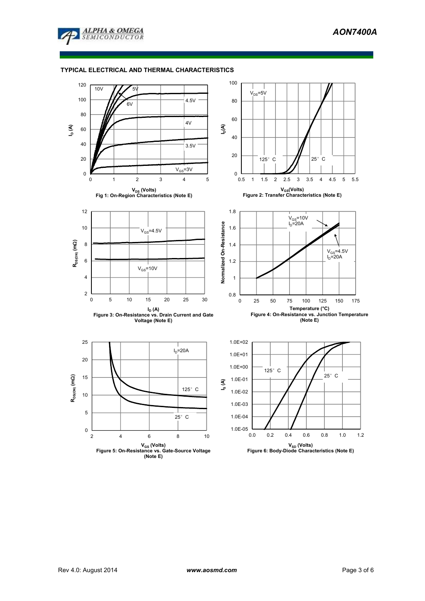

# **TYPICAL ELECTRICAL AND THERMAL CHARACTERISTICS**

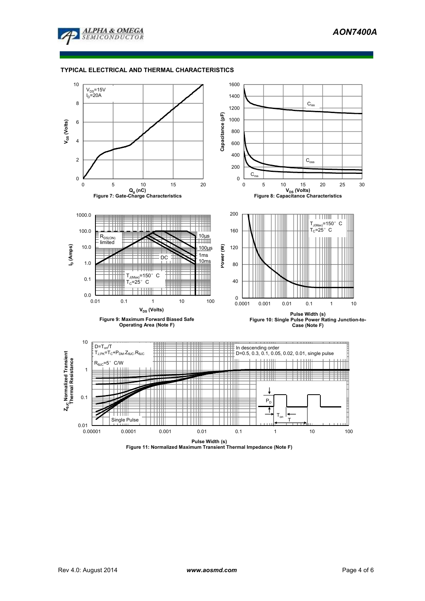

#### **TYPICAL ELECTRICAL AND THERMAL CHARACTERISTICS**



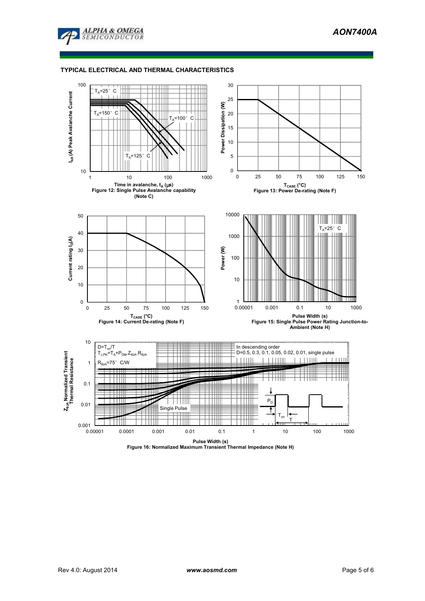

### **TYPICAL ELECTRICAL AND THERMAL CHARACTERISTICS**